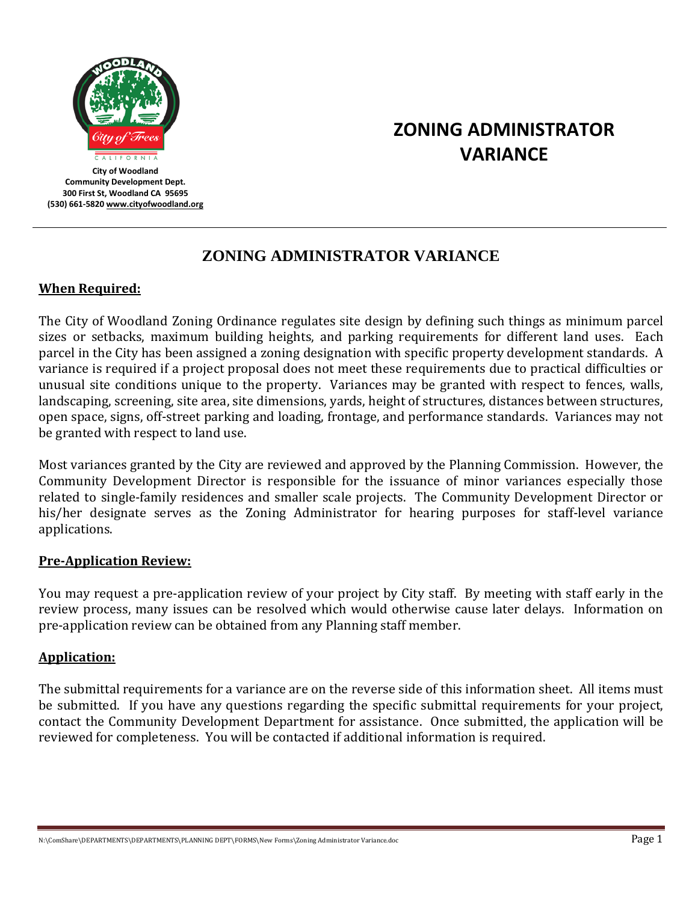

**City of Woodland Community Development Dept. 300 First St, Woodland CA 95695 (530) 661-582[0 www.cityofwoodland.org](http://www.cityofwoodland.org/)**

# **ZONING ADMINISTRATOR VARIANCE**

# **ZONING ADMINISTRATOR VARIANCE**

## **When Required:**

The City of Woodland Zoning Ordinance regulates site design by defining such things as minimum parcel sizes or setbacks, maximum building heights, and parking requirements for different land uses. Each parcel in the City has been assigned a zoning designation with specific property development standards. A variance is required if a project proposal does not meet these requirements due to practical difficulties or unusual site conditions unique to the property. Variances may be granted with respect to fences, walls, landscaping, screening, site area, site dimensions, yards, height of structures, distances between structures, open space, signs, off-street parking and loading, frontage, and performance standards. Variances may not be granted with respect to land use.

Most variances granted by the City are reviewed and approved by the Planning Commission. However, the Community Development Director is responsible for the issuance of minor variances especially those related to single-family residences and smaller scale projects. The Community Development Director or his/her designate serves as the Zoning Administrator for hearing purposes for staff-level variance applications.

#### **Pre-Application Review:**

You may request a pre-application review of your project by City staff. By meeting with staff early in the review process, many issues can be resolved which would otherwise cause later delays. Information on pre-application review can be obtained from any Planning staff member.

#### **Application:**

The submittal requirements for a variance are on the reverse side of this information sheet. All items must be submitted. If you have any questions regarding the specific submittal requirements for your project, contact the Community Development Department for assistance. Once submitted, the application will be reviewed for completeness. You will be contacted if additional information is required.

N:\ComShare\DEPARTMENTS\DEPARTMENTS\PLANNING DEPT\FORMS\New Forms\Zoning Administrator Variance.doc Page 1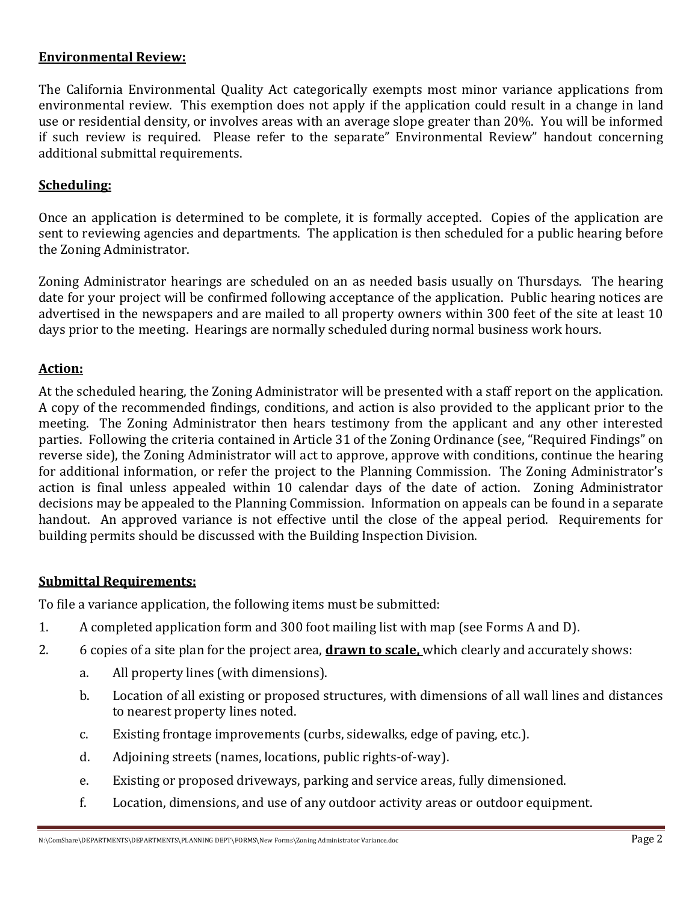#### **Environmental Review:**

The California Environmental Quality Act categorically exempts most minor variance applications from environmental review. This exemption does not apply if the application could result in a change in land use or residential density, or involves areas with an average slope greater than 20%. You will be informed if such review is required. Please refer to the separate" Environmental Review" handout concerning additional submittal requirements.

#### **Scheduling:**

Once an application is determined to be complete, it is formally accepted. Copies of the application are sent to reviewing agencies and departments. The application is then scheduled for a public hearing before the Zoning Administrator.

Zoning Administrator hearings are scheduled on an as needed basis usually on Thursdays. The hearing date for your project will be confirmed following acceptance of the application. Public hearing notices are advertised in the newspapers and are mailed to all property owners within 300 feet of the site at least 10 days prior to the meeting. Hearings are normally scheduled during normal business work hours.

#### **Action:**

At the scheduled hearing, the Zoning Administrator will be presented with a staff report on the application. A copy of the recommended findings, conditions, and action is also provided to the applicant prior to the meeting. The Zoning Administrator then hears testimony from the applicant and any other interested parties. Following the criteria contained in Article 31 of the Zoning Ordinance (see, "Required Findings" on reverse side), the Zoning Administrator will act to approve, approve with conditions, continue the hearing for additional information, or refer the project to the Planning Commission. The Zoning Administrator's action is final unless appealed within 10 calendar days of the date of action. Zoning Administrator decisions may be appealed to the Planning Commission. Information on appeals can be found in a separate handout. An approved variance is not effective until the close of the appeal period. Requirements for building permits should be discussed with the Building Inspection Division.

#### **Submittal Requirements:**

To file a variance application, the following items must be submitted:

- 1. A completed application form and 300 foot mailing list with map (see Forms A and D).
- 2. 6 copies of a site plan for the project area, **drawn to scale,** which clearly and accurately shows:
	- a. All property lines (with dimensions).
	- b. Location of all existing or proposed structures, with dimensions of all wall lines and distances to nearest property lines noted.
	- c. Existing frontage improvements (curbs, sidewalks, edge of paving, etc.).
	- d. Adjoining streets (names, locations, public rights-of-way).
	- e. Existing or proposed driveways, parking and service areas, fully dimensioned.
	- f. Location, dimensions, and use of any outdoor activity areas or outdoor equipment.